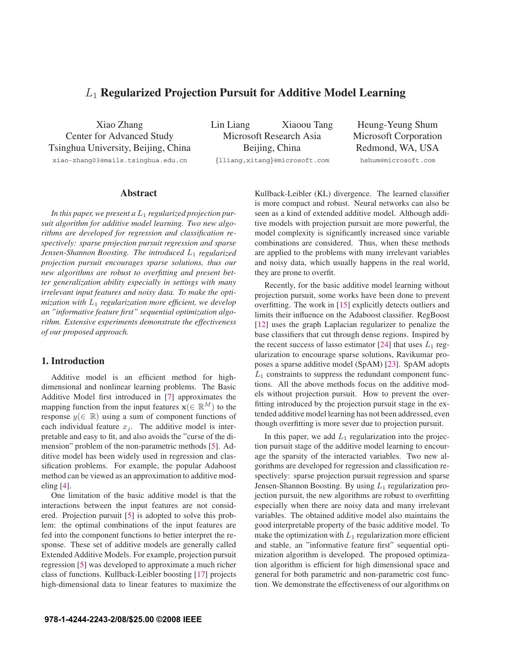# *<sup>L</sup>*1 **Regularized Projection Pursuit for Additive Model Learning**

Xiao Zhang Center for Advanced Study Tsinghua University, Beijing, China xiao-zhang03@mails.tsinghua.edu.cn

Lin Liang Xiaoou Tang Microsoft Research Asia Beijing, China *{*lliang,xitang*}*@microsoft.com

Heung-Yeung Shum Microsoft Corporation Redmond, WA, USA hshum@microsoft.com

## **Abstract**

*In this paper, we present a* L<sup>1</sup> *regularized projection pursuit algorithm for additive model learning. Two new algorithms are developed for regression and classification respectively: sparse projection pursuit regression and sparse Jensen-Shannon Boosting. The introduced*  $L_1$  *regularized projection pursuit encourages sparse solutions, thus our new algorithms are robust to overfitting and present better generalization ability especially in settings with many irrelevant input features and noisy data. To make the optimization with* L<sup>1</sup> *regularization more efficient, we develop an "informative feature first" sequential optimization algorithm. Extensive experiments demonstrate the effectiveness of our proposed approach.*

## **1. Introduction**

Additive model is an efficient method for highdimensional and nonlinear learning problems. The Basic Additive Model first introduced in [7] approximates the mapping function from the input features  $\mathbf{x}(\in \mathbb{R}^M)$  to the response  $y(\in \mathbb{R})$  using a sum of component functions of each individual feature  $x_j$ . The additive model is interpretable and easy to fit, and also avoids the "curse of the dimension" problem of the non-parametric methods [5]. Additive model has been widely used in regression and classification problems. For example, the popular Adaboost method can be viewed as an approximation to additive modeling [4].

One limitation of the basic additive model is that the interactions between the input features are not considered. Projection pursuit [5] is adopted to solve this problem: the optimal combinations of the input features are fed into the component functions to better interpret the response. These set of additive models are generally called Extended Additive Models. For example, projection pursuit regression [5] was developed to approximate a much richer class of functions. Kullback-Leibler boosting [17] projects high-dimensional data to linear features to maximize the Kullback-Leibler (KL) divergence. The learned classifier is more compact and robust. Neural networks can also be seen as a kind of extended additive model. Although additive models with projection pursuit are more powerful, the model complexity is significantly increased since variable combinations are considered. Thus, when these methods are applied to the problems with many irrelevant variables and noisy data, which usually happens in the real world, they are prone to overfit.

Recently, for the basic additive model learning without projection pursuit, some works have been done to prevent overfitting. The work in [15] explicitly detects outliers and limits their influence on the Adaboost classifier. RegBoost [12] uses the graph Laplacian regularizer to penalize the base classifiers that cut through dense regions. Inspired by the recent success of lasso estimator [24] that uses  $L_1$  regularization to encourage sparse solutions, Ravikumar proposes a sparse additive model (SpAM) [23]. SpAM adopts  $L_1$  constraints to suppress the redundant component functions. All the above methods focus on the additive models without projection pursuit. How to prevent the overfitting introduced by the projection pursuit stage in the extended additive model learning has not been addressed, even though overfitting is more sever due to projection pursuit.

In this paper, we add  $L_1$  regularization into the projection pursuit stage of the additive model learning to encourage the sparsity of the interacted variables. Two new algorithms are developed for regression and classification respectively: sparse projection pursuit regression and sparse Jensen-Shannon Boosting. By using  $L_1$  regularization projection pursuit, the new algorithms are robust to overfitting especially when there are noisy data and many irrelevant variables. The obtained additive model also maintains the good interpretable property of the basic additive model. To make the optimization with  $L_1$  regularization more efficient and stable, an "informative feature first" sequential optimization algorithm is developed. The proposed optimization algorithm is efficient for high dimensional space and general for both parametric and non-parametric cost function. We demonstrate the effectiveness of our algorithms on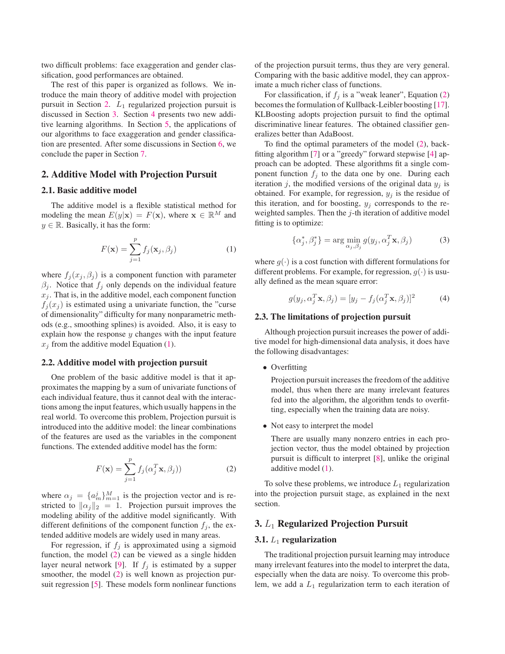two difficult problems: face exaggeration and gender classification, good performances are obtained.

The rest of this paper is organized as follows. We introduce the main theory of additive model with projection pursuit in Section 2.  $L_1$  regularized projection pursuit is discussed in Section 3. Section 4 presents two new additive learning algorithms. In Section 5, the applications of our algorithms to face exaggeration and gender classification are presented. After some discussions in Section 6, we conclude the paper in Section 7.

## **2. Additive Model with Projection Pursuit**

## **2.1. Basic additive model**

The additive model is a flexible statistical method for modeling the mean  $E(y|\mathbf{x}) = F(\mathbf{x})$ , where  $\mathbf{x} \in \mathbb{R}^M$  and  $y \in \mathbb{R}$ . Basically, it has the form:

$$
F(\mathbf{x}) = \sum_{j=1}^{p} f_j(\mathbf{x}_j, \beta_j)
$$
 (1)

where  $f_i(x_i, \beta_i)$  is a component function with parameter  $\beta_i$ . Notice that  $f_i$  only depends on the individual feature  $x_j$ . That is, in the additive model, each component function  $f_i(x_i)$  is estimated using a univariate function, the "curse" of dimensionality" difficulty for many nonparametric methods (e.g., smoothing splines) is avoided. Also, it is easy to explain how the response  $y$  changes with the input feature  $x_j$  from the additive model Equation (1).

## **2.2. Additive model with projection pursuit**

One problem of the basic additive model is that it approximates the mapping by a sum of univariate functions of each individual feature, thus it cannot deal with the interactions among the input features, which usually happens in the real world. To overcome this problem, Projection pursuit is introduced into the additive model: the linear combinations of the features are used as the variables in the component functions. The extended additive model has the form:

$$
F(\mathbf{x}) = \sum_{j=1}^{p} f_j(\alpha_j^T \mathbf{x}, \beta_j))
$$
 (2)

where  $\alpha_j = \{a_m^j\}_{m=1}^M$  is the projection vector and is re-<br>stricted to  $\|\alpha\|_0 = 1$ . Projection pursuit improves the stricted to  $\|\alpha_j\|_2 = 1$ . Projection pursuit improves the modeling ability of the additive model significantly. With modeling ability of the additive model significantly. With different definitions of the component function  $f_i$ , the extended additive models are widely used in many areas.

For regression, if  $f_j$  is approximated using a sigmoid function, the model (2) can be viewed as a single hidden layer neural network [9]. If  $f_j$  is estimated by a supper smoother, the model (2) is well known as projection pursuit regression [5]. These models form nonlinear functions

of the projection pursuit terms, thus they are very general. Comparing with the basic additive model, they can approximate a much richer class of functions.

For classification, if  $f_j$  is a "weak leaner", Equation (2) becomes the formulation of Kullback-Leibler boosting [17]. KLBoosting adopts projection pursuit to find the optimal discriminative linear features. The obtained classifier generalizes better than AdaBoost.

To find the optimal parameters of the model (2), backfitting algorithm [7] or a "greedy" forward stepwise [4] approach can be adopted. These algorithms fit a single component function  $f_i$  to the data one by one. During each iteration j, the modified versions of the original data  $y_i$  is obtained. For example, for regression,  $y_i$  is the residue of this iteration, and for boosting,  $y_i$  corresponds to the reweighted samples. Then the j-th iteration of additive model fitting is to optimize:

$$
\{\alpha_j^*, \beta_j^*\} = \arg\min_{\alpha_j, \beta_j} g(y_j, \alpha_j^T \mathbf{x}, \beta_j)
$$
(3)

where  $q(\cdot)$  is a cost function with different formulations for different problems. For example, for regression,  $g(\cdot)$  is usually defined as the mean square error:

$$
g(y_j, \alpha_j^T \mathbf{x}, \beta_j) = [y_j - f_j(\alpha_j^T \mathbf{x}, \beta_j)]^2
$$
 (4)

## **2.3. The limitations of projection pursuit**

Although projection pursuit increases the power of additive model for high-dimensional data analysis, it does have the following disadvantages:

• Overfitting

Projection pursuit increases the freedom of the additive model, thus when there are many irrelevant features fed into the algorithm, the algorithm tends to overfitting, especially when the training data are noisy.

• Not easy to interpret the model

There are usually many nonzero entries in each projection vector, thus the model obtained by projection pursuit is difficult to interpret [8], unlike the original additive model (1).

To solve these problems, we introduce  $L_1$  regularization into the projection pursuit stage, as explained in the next section.

## **3.** *L*<sup>1</sup> **Regularized Projection Pursuit**

## **3.1.** L<sup>1</sup> **regularization**

The traditional projection pursuit learning may introduce many irrelevant features into the model to interpret the data, especially when the data are noisy. To overcome this problem, we add a  $L_1$  regularization term to each iteration of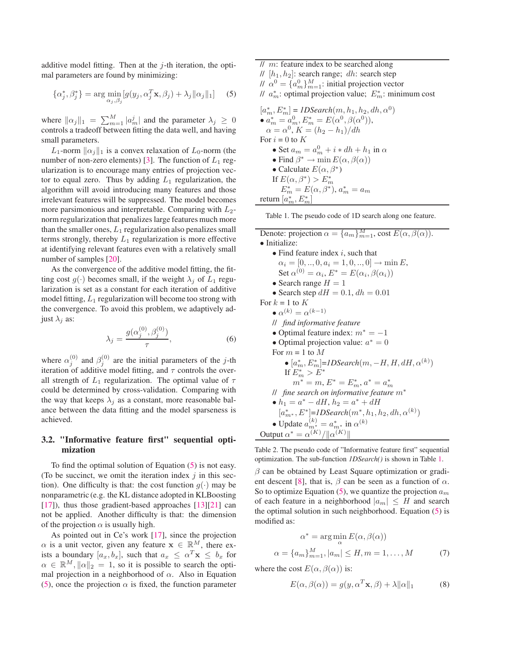additive model fitting. Then at the  $i$ -th iteration, the optimal parameters are found by minimizing:

$$
\{\alpha_j^*, \beta_j^*\} = \arg\min_{\alpha_j, \beta_j} [g(y_j, \alpha_j^T \mathbf{x}, \beta_j) + \lambda_j ||\alpha_j||_1]
$$
 (5)

where  $\|\alpha_j\|_1 = \sum_{m=1}^M |\alpha_m^j|$  and the parameter  $\lambda_j \geq 0$ <br>controls a tradeoff between fitting the data well, and baying controls a tradeoff between fitting the data well, and having small parameters.

 $L_1$ -norm  $\|\alpha_j\|_1$  is a convex relaxation of  $L_0$ -norm (the number of non-zero elements) [3]. The function of  $L_1$  regularization is to encourage many entries of projection vector to equal zero. Thus by adding  $L_1$  regularization, the algorithm will avoid introducing many features and those irrelevant features will be suppressed. The model becomes more parsimonious and interpretable. Comparing with  $L_2$ norm regularization that penalizes large features much more than the smaller ones,  $L_1$  regularization also penalizes small terms strongly, thereby  $L_1$  regularization is more effective at identifying relevant features even with a relatively small number of samples [20].

As the convergence of the additive model fitting, the fitting cost  $g(\cdot)$  becomes small, if the weight  $\lambda_j$  of  $L_1$  regularization is set as a constant for each iteration of additive model fitting,  $L_1$  regularization will become too strong with the convergence. To avoid this problem, we adaptively adjust  $\lambda_i$  as:

$$
\lambda_j = \frac{g(\alpha_j^{(0)}, \beta_j^{(0)})}{\tau},\tag{6}
$$

where  $\alpha_j^{(0)}$  and  $\beta_j^{(0)}$  are the initial parameters of the j-th iteration of additive model fitting, and  $\tau$  controls the overall strength of  $L_1$  regularization. The optimal value of  $\tau$ could be determined by cross-validation. Comparing with the way that keeps  $\lambda_i$  as a constant, more reasonable balance between the data fitting and the model sparseness is achieved.

## **3.2. "Informative feature first" sequential optimization**

To find the optimal solution of Equation (5) is not easy. (To be succinct, we omit the iteration index  $j$  in this section). One difficulty is that: the cost function  $g(\cdot)$  may be nonparametric (e.g. the KL distance adopted in KLBoosting  $[17]$ ), thus those gradient-based approaches  $[13][21]$  can not be applied. Another difficulty is that: the dimension of the projection  $\alpha$  is usually high.

As pointed out in Ce's work [17], since the projection  $\alpha$  is a unit vector, given any feature  $\mathbf{x} \in \mathbb{R}^M$ , there exists a boundary  $[a_x, b_x]$ , such that  $a_x \leq \alpha^T \mathbf{x} \leq b_x$  for  $\alpha \in \mathbb{R}^M$ ,  $\|\alpha\|_2 = 1$ , so it is possible to search the optimal projection in a neighborhood of  $\alpha$ . Also in Equation mal projection in a neighborhood of  $\alpha$ . Also in Equation (5), once the projection  $\alpha$  is fixed, the function parameter

// m: feature index to be searched along //  $[h_1, h_2]$ : search range; dh: search step  $\mathcal{U} \alpha^0 = \{a_m^0\}_{m=1}^M$ : initial projection vector<br> $\mathcal{U} \alpha^*$ : optimal projection value:  $E^*$ : mini  $\mathcal{M}$   $a_m^*$ : optimal projection value;  $E_m^*$ : minimum cost

$$
[a_m^*, E_m^*] = IDSearch(m, h_1, h_2, dh, \alpha^0)
$$
  
\n•  $a_m^* = a_m^0$ ,  $E_m^* = E(\alpha^0, \beta(\alpha^0))$ ,  
\n $\alpha = \alpha^0$ ,  $K = (h_2 - h_1)/dh$   
\nFor  $i = 0$  to  $K$   
\n• Set  $a_m = a_m^0 + i * dh + h_1$  in  $\alpha$   
\n• Find  $\beta^* \rightarrow \min E(\alpha, \beta(\alpha))$   
\n• Calculate  $E(\alpha, \beta^*)$   
\nIf  $E(\alpha, \beta^*) > E_m^*$   
\n $E_m^* = E(\alpha, \beta^*)$ ,  $a_m^* = a_m$   
\nreturn  $[a_m^*, E_m^*]$ 

Table 1. The pseudo code of 1D search along one feature.

| Denote: projection $\alpha = \{a_m\}_{m=1}^M$ , cost $E(\alpha, \beta(\alpha))$ . |
|-----------------------------------------------------------------------------------|
| $\bullet$ Initialize:                                                             |
| • Find feature index i, such that                                                 |
| $\alpha_i = [0, , 0, a_i = 1, 0, , 0] \rightarrow \min E,$                        |
| Set $\alpha^{(0)} = \alpha_i$ , $E^* = E(\alpha_i, \beta(\alpha_i))$              |
| • Search range $H = 1$                                                            |
| • Search step $dH = 0.1$ , $dh = 0.01$                                            |
| For $k = 1$ to $K$                                                                |
| $\bullet \alpha^{(k)} = \alpha^{(k-1)}$                                           |
| // find informative feature                                                       |
| • Optimal feature index: $m^* = -1$                                               |
| • Optimal projection value: $a^* = 0$                                             |
| For $m = 1$ to $M$                                                                |
| • $[a_m^*, E_m^*]$ =IDSearch $(m, -H, H, dH, \alpha^{(k)})$                       |
| If $E_m^* > E^*$                                                                  |
| $m^* = m, E^* = E_m^*, a^* = a_m^*$                                               |
| <i>ll</i> fine search on informative feature $m^*$                                |
| • $h_1 = a^* - dH$ , $h_2 = a^* + dH$                                             |
| $[a_{m^*}^*, E^*] = 1DSearch(m^*, h_1, h_2, dh, \alpha^{(k)})$                    |
| • Update $a_{m^*}^{(k)} = a_{m^*}^*$ in $\alpha^{(k)}$                            |
| Output $\alpha^* = \alpha^{(K)}/\ \alpha^{(K)}\ $                                 |
|                                                                                   |

Table 2. The pseudo code of "Informative feature first" sequential optimization. The sub-function *1DSearch()* is shown in Table 1.

 $\beta$  can be obtained by Least Square optimization or gradient descent [8], that is,  $\beta$  can be seen as a function of  $\alpha$ . So to optimize Equation (5), we quantize the projection  $a_m$ of each feature in a neighborhood  $|a_m| \leq H$  and search the optimal solution in such neighborhood. Equation (5) is modified as:

$$
\alpha^* = \arg\min_{\alpha} E(\alpha, \beta(\alpha))
$$
  

$$
\alpha = \{a_m\}_{m=1}^M, |a_m| \le H, m = 1, \dots, M
$$
 (7)

where the cost  $E(\alpha, \beta(\alpha))$  is:

$$
E(\alpha, \beta(\alpha)) = g(y, \alpha^T \mathbf{x}, \beta) + \lambda ||\alpha||_1 \tag{8}
$$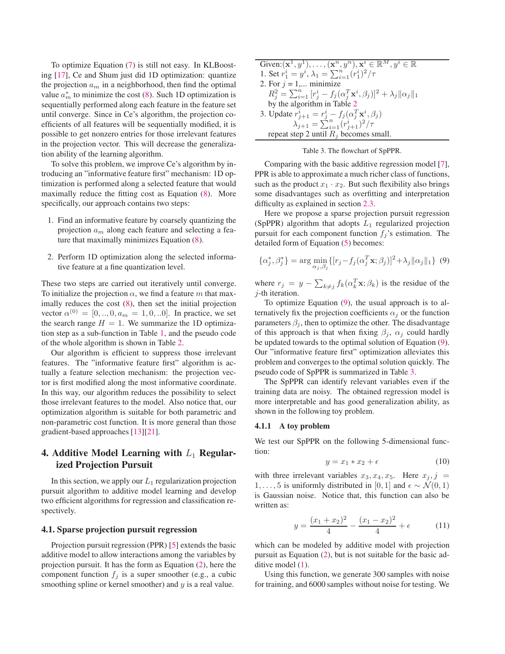To optimize Equation (7) is still not easy. In KLBoosting [17], Ce and Shum just did 1D optimization: quantize the projection  $a_m$  in a neighborhood, then find the optimal value  $a_m^*$  to minimize the cost (8). Such 1D optimization is sequentially performed along each feature in the feature set until converge. Since in Ce's algorithm, the projection coefficients of all features will be sequentially modified, it is possible to get nonzero entries for those irrelevant features in the projection vector. This will decrease the generalization ability of the learning algorithm.

To solve this problem, we improve Ce's algorithm by introducing an "informative feature first" mechanism: 1D optimization is performed along a selected feature that would maximally reduce the fitting cost as Equation (8). More specifically, our approach contains two steps:

- 1. Find an informative feature by coarsely quantizing the projection  $a_m$  along each feature and selecting a feature that maximally minimizes Equation (8).
- 2. Perform 1D optimization along the selected informative feature at a fine quantization level.

These two steps are carried out iteratively until converge. To initialize the projection  $\alpha$ , we find a feature m that maximally reduces the cost (8), then set the initial projection vector  $\alpha^{(0)} = [0, ..., 0, a_m = 1, 0, ...0]$ . In practice, we set the search range  $H = 1$ . We summarize the 1D optimization step as a sub-function in Table 1, and the pseudo code of the whole algorithm is shown in Table 2.

Our algorithm is efficient to suppress those irrelevant features. The "informative feature first" algorithm is actually a feature selection mechanism: the projection vector is first modified along the most informative coordinate. In this way, our algorithm reduces the possibility to select those irrelevant features to the model. Also notice that, our optimization algorithm is suitable for both parametric and non-parametric cost function. It is more general than those gradient-based approaches [13][21].

# **4. Additive Model Learning with**  $L_1$  **Regularized Projection Pursuit**

In this section, we apply our  $L_1$  regularization projection pursuit algorithm to additive model learning and develop two efficient algorithms for regression and classification respectively.

### **4.1. Sparse projection pursuit regression**

Projection pursuit regression (PPR) [5] extends the basic additive model to allow interactions among the variables by projection pursuit. It has the form as Equation (2), here the component function  $f_j$  is a super smoother (e.g., a cubic smoothing spline or kernel smoother) and  $y$  is a real value.

Given: $({\bf x}^1, y^1),..., ({\bf x}^n, y^n), {\bf x}^i \in \mathbb{R}^M, y^i \in \mathbb{R}$ <br>
1. Set  $r_1^i = y^i, \lambda_1 = \sum_{i=1}^n (r_1^i)^2 / \tau$ <br>
2. For  $i - 1$  minimize 2. For  $j = 1,...$  minimize  $R_j^2 = \sum_{i=1}^n [r_j^i - f_j(\alpha_j^T \mathbf{x}^i, \beta_j)]^2 + \lambda_j \|\alpha_j\|_1$ <br>by the algorithm in Table 2 by the algorithm in Table 2 3. Update  $r_{j+1}^i = r_j^i - f_j(\alpha_j^T \mathbf{x}^i, \beta_j)$ <br> $\sum_{i,j} \sum_{j=1}^n \frac{(a_j^T \mathbf{x}^i)^2}{\alpha_j^i}$  $\lambda_{j+1}^{j+1} = \sum_{i=1}^{n} (r_{j+1}^i)^2 / \tau$ repeat step 2 until  $R_i$  becomes small.



Comparing with the basic additive regression model [7], PPR is able to approximate a much richer class of functions, such as the product  $x_1 \cdot x_2$ . But such flexibility also brings some disadvantages such as overfitting and interpretation difficulty as explained in section 2.3.

Here we propose a sparse projection pursuit regression (SpPPR) algorithm that adopts  $L_1$  regularized projection pursuit for each component function  $f_i$ 's estimation. The detailed form of Equation (5) becomes:

$$
\{\alpha_j^*, \beta_j^*\} = \arg\min_{\alpha_j, \beta_j} \{ [r_j - f_j(\alpha_j^T \mathbf{x}; \beta_j)]^2 + \lambda_j ||\alpha_j||_1 \} \tag{9}
$$

where  $r_j = y - \sum_{k \neq j} f_k(\alpha_k^T \mathbf{x}; \beta_k)$  is the residue of the *i*-th iteration j-th iteration.

To optimize Equation (9), the usual approach is to alternatively fix the projection coefficients  $\alpha_i$  or the function parameters  $\beta_i$ , then to optimize the other. The disadvantage of this approach is that when fixing  $\beta_i$ ,  $\alpha_i$  could hardly be updated towards to the optimal solution of Equation (9). Our "informative feature first" optimization alleviates this problem and converges to the optimal solution quickly. The pseudo code of SpPPR is summarized in Table 3.

The SpPPR can identify relevant variables even if the training data are noisy. The obtained regression model is more interpretable and has good generalization ability, as shown in the following toy problem.

#### **4.1.1 A toy problem**

We test our SpPPR on the following 5-dimensional function:

$$
y = x_1 * x_2 + \epsilon \tag{10}
$$

with three irrelevant variables  $x_3, x_4, x_5$ . Here  $x_j, j =$ 1,..., 5 is uniformly distributed in [0, 1] and  $\epsilon \sim \mathcal{N}(0, 1)$ is Gaussian noise. Notice that, this function can also be written as:

$$
y = \frac{(x_1 + x_2)^2}{4} - \frac{(x_1 - x_2)^2}{4} + \epsilon \tag{11}
$$

which can be modeled by additive model with projection pursuit as Equation (2), but is not suitable for the basic additive model  $(1)$ .

Using this function, we generate 300 samples with noise for training, and 6000 samples without noise for testing. We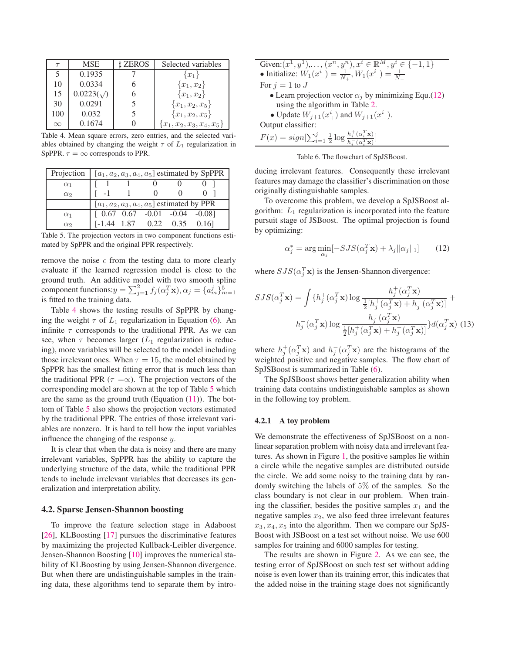| $\tau$                   | MSE.              | <b>ZEROS</b> | Selected variables          |
|--------------------------|-------------------|--------------|-----------------------------|
| $\overline{\phantom{1}}$ | 0.1935            |              | $\{x_1\}$                   |
| 10                       | 0.0334            |              | ${x_1, x_2}$                |
| 15                       | $0.0223(\sqrt{)}$ | n            | ${x_1, x_2}$                |
| 30                       | 0.0291            |              | ${x_1, x_2, x_5}$           |
| 100                      | 0.032             |              | ${x_1, x_2, x_5}$           |
| $\infty$                 | 0.1674            |              | ${x_1, x_2, x_3, x_4, x_5}$ |

Table 4. Mean square errors, zero entries, and the selected variables obtained by changing the weight  $\tau$  of  $L_1$  regularization in SpPPR.  $\tau = \infty$  corresponds to PPR.

| Projection |           |              |                                                       | [ $a_1, a_2, a_3, a_4, a_5$ ] estimated by SpPPR |
|------------|-----------|--------------|-------------------------------------------------------|--------------------------------------------------|
| $\alpha_1$ |           |              |                                                       |                                                  |
| $\alpha_2$ | $\sim$ -1 | $\mathbf{1}$ | $\Omega$                                              |                                                  |
|            |           |              | [ $a_1, a_2, a_3, a_4, a_5$ ] estimated by PPR        |                                                  |
| $\alpha_1$ |           |              | $[0.67 \t 0.67 \t -0.01 \t -0.04 \t -0.08]$           |                                                  |
| $\alpha_2$ |           |              | $[-1.44 \quad 1.87 \quad 0.22 \quad 0.35 \quad 0.16]$ |                                                  |

Table 5. The projection vectors in two component functions estimated by SpPPR and the original PPR respectively.

remove the noise  $\epsilon$  from the testing data to more clearly evaluate if the learned regression model is close to the ground truth. An additive model with two smooth spline component functions:  $y = \sum_{j=1}^{2} f_j(\alpha_j^T \mathbf{x}), \alpha_j = \{a_m^j\}_{m=1}^5$ <br>is fitted to the training data is fitted to the training data.

Table 4 shows the testing results of SpPPR by changing the weight  $\tau$  of  $L_1$  regularization in Equation (6). An infinite  $\tau$  corresponds to the traditional PPR. As we can see, when  $\tau$  becomes larger ( $L_1$  regularization is reducing), more variables will be selected to the model including those irrelevant ones. When  $\tau = 15$ , the model obtained by SpPPR has the smallest fitting error that is much less than the traditional PPR ( $\tau = \infty$ ). The projection vectors of the corresponding model are shown at the top of Table 5 which are the same as the ground truth (Equation  $(11)$ ). The bottom of Table 5 also shows the projection vectors estimated by the traditional PPR. The entries of those irrelevant variables are nonzero. It is hard to tell how the input variables influence the changing of the response y.

It is clear that when the data is noisy and there are many irrelevant variables, SpPPR has the ability to capture the underlying structure of the data, while the traditional PPR tends to include irrelevant variables that decreases its generalization and interpretation ability.

### **4.2. Sparse Jensen-Shannon boosting**

To improve the feature selection stage in Adaboost [26], KLBoosting [17] pursues the discriminative features by maximizing the projected Kullback-Leibler divergence. Jensen-Shannon Boosting [10] improves the numerical stability of KLBoosting by using Jensen-Shannon divergence. But when there are undistinguishable samples in the training data, these algorithms tend to separate them by intro-

Table 6. The flowchart of SpJSBoost.

ducing irrelevant features. Consequently these irrelevant features may damage the classifier's discrimination on those originally distinguishable samples.

To overcome this problem, we develop a SpJSBoost algorithm:  $L_1$  regularization is incorporated into the feature pursuit stage of JSBoost. The optimal projection is found by optimizing:

$$
\alpha_j^* = \arg \min_{\alpha_j} [-SJS(\alpha_j^T \mathbf{x}) + \lambda_j ||\alpha_j||_1] \qquad (12)
$$

where  $SJS(\alpha_j^T \mathbf{x})$  is the Jensen-Shannon divergence:

$$
SJS(\alpha_j^T \mathbf{x}) = \int \{h_j^+(\alpha_j^T \mathbf{x}) \log \frac{h_j^+(\alpha_j^T \mathbf{x})}{\frac{1}{2}[h_j^+(\alpha_j^T \mathbf{x}) + h_j^-(\alpha_j^T \mathbf{x})]} + h_j^-(\alpha_j^T \mathbf{x}) \log \frac{h_j^-(\alpha_j^T \mathbf{x})}{\frac{1}{2}[h_j^+(\alpha_j^T \mathbf{x}) + h_j^-(\alpha_j^T \mathbf{x})]} \} d(\alpha_j^T \mathbf{x})
$$
(13)

where  $h_j^+(\alpha_j^T \mathbf{x})$  and  $h_j^-(\alpha_j^T \mathbf{x})$  are the histograms of the weighted positive and pequive samples. The flow chart of weighted positive and negative samples. The flow chart of SpJSBoost is summarized in Table (6).

The SpJSBoost shows better generalization ability when training data contains undistinguishable samples as shown in the following toy problem.

#### **4.2.1 A toy problem**

We demonstrate the effectiveness of SpJSBoost on a nonlinear separation problem with noisy data and irrelevant features. As shown in Figure 1, the positive samples lie within a circle while the negative samples are distributed outside the circle. We add some noisy to the training data by randomly switching the labels of 5% of the samples. So the class boundary is not clear in our problem. When training the classifier, besides the positive samples  $x_1$  and the negative samples  $x_2$ , we also feed three irrelevant features  $x_3, x_4, x_5$  into the algorithm. Then we compare our SpJS-Boost with JSBoost on a test set without noise. We use 600 samples for training and 6000 samples for testing.

The results are shown in Figure 2. As we can see, the testing error of SpJSBoost on such test set without adding noise is even lower than its training error, this indicates that the added noise in the training stage does not significantly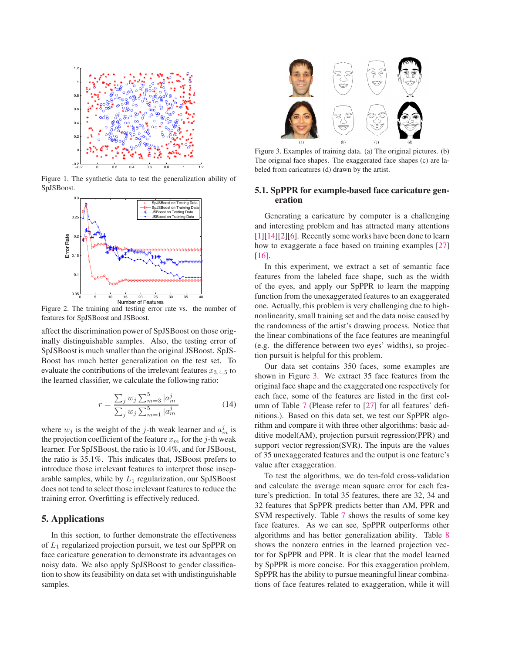

Figure 1. The synthetic data to test the generalization ability of **SpJSBoost** 



Figure 2. The training and testing error rate vs. the number of features for SpJSBoost and JSBoost.

affect the discrimination power of SpJSBoost on those originally distinguishable samples. Also, the testing error of SpJSBoost is much smaller than the original JSBoost. SpJS-Boost has much better generalization on the test set. To evaluate the contributions of the irrelevant features  $x_{3,4,5}$  to the learned classifier, we calculate the following ratio:

$$
r = \frac{\sum_{j} w_{j} \sum_{m=3}^{5} |a_{m}^{j}|}{\sum_{j} w_{j} \sum_{m=1}^{5} |a_{m}^{j}|}
$$
(14)

where  $w_j$  is the weight of the j-th weak learner and  $a_m^j$  is the projection coefficient of the feature  $x_m$  for the j-th weak learner. For SpJSBoost, the ratio is 10.4%, and for JSBoost, the ratio is 35.1%. This indicates that, JSBoost prefers to introduce those irrelevant features to interpret those inseparable samples, while by  $L_1$  regularization, our SpJSBoost does not tend to select those irrelevant features to reduce the training error. Overfitting is effectively reduced.

## **5. Applications**

In this section, to further demonstrate the effectiveness of  $L_1$  regularized projection pursuit, we test our SpPPR on face caricature generation to demonstrate its advantages on noisy data. We also apply SpJSBoost to gender classification to show its feasibility on data set with undistinguishable samples.



Figure 3. Examples of training data. (a) The original pictures. (b) The original face shapes. The exaggerated face shapes (c) are labeled from caricatures (d) drawn by the artist.

## **5.1. SpPPR for example-based face caricature generation**

Generating a caricature by computer is a challenging and interesting problem and has attracted many attentions [1][14][2][6]. Recently some works have been done to learn how to exaggerate a face based on training examples [27] [16].

In this experiment, we extract a set of semantic face features from the labeled face shape, such as the width of the eyes, and apply our SpPPR to learn the mapping function from the unexaggerated features to an exaggerated one. Actually, this problem is very challenging due to highnonlinearity, small training set and the data noise caused by the randomness of the artist's drawing process. Notice that the linear combinations of the face features are meaningful (e.g. the difference between two eyes' widths), so projection pursuit is helpful for this problem.

Our data set contains 350 faces, some examples are shown in Figure 3. We extract 35 face features from the original face shape and the exaggerated one respectively for each face, some of the features are listed in the first column of Table 7 (Please refer to [27] for all features' definitions.). Based on this data set, we test our SpPPR algorithm and compare it with three other algorithms: basic additive model(AM), projection pursuit regression(PPR) and support vector regression(SVR). The inputs are the values of 35 unexaggerated features and the output is one feature's value after exaggeration.

To test the algorithms, we do ten-fold cross-validation and calculate the average mean square error for each feature's prediction. In total 35 features, there are 32, 34 and 32 features that SpPPR predicts better than AM, PPR and SVM respectively. Table 7 shows the results of some key face features. As we can see, SpPPR outperforms other algorithms and has better generalization ability. Table 8 shows the nonzero entries in the learned projection vector for SpPPR and PPR. It is clear that the model learned by SpPPR is more concise. For this exaggeration problem, SpPPR has the ability to pursue meaningful linear combinations of face features related to exaggeration, while it will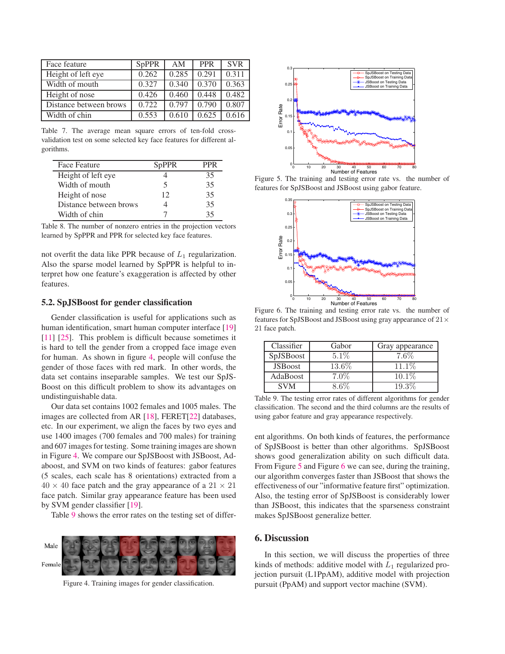| Face feature           | <b>SpPPR</b> | AM    | <b>PPR</b> | <b>SVR</b> |
|------------------------|--------------|-------|------------|------------|
| Height of left eye     | 0.262        | 0.285 | 0.291      | 0.311      |
| Width of mouth         | 0.327        | 0.340 | 0.370      | 0.363      |
| Height of nose         | 0.426        | 0.460 | 0.448      | 0.482      |
| Distance between brows | 0.722        | 0.797 | 0.790      | 0.807      |
| Width of chin          | 0.553        | 0.610 | 0.625      | 0.616      |

Table 7. The average mean square errors of ten-fold crossvalidation test on some selected key face features for different algorithms.

| Face Feature           | SpPPR |    |
|------------------------|-------|----|
| Height of left eye     |       | 35 |
| Width of mouth         | 5     | 35 |
| Height of nose         | 12    | 35 |
| Distance between brows |       | 35 |
| Width of chin          |       | 35 |

|  |  |  | Table 8. The number of nonzero entries in the projection vectors |  |
|--|--|--|------------------------------------------------------------------|--|
|  |  |  | learned by SpPPR and PPR for selected key face features.         |  |

not overfit the data like PPR because of  $L_1$  regularization. Also the sparse model learned by SpPPR is helpful to interpret how one feature's exaggeration is affected by other features.

### **5.2. SpJSBoost for gender classification**

Gender classification is useful for applications such as human identification, smart human computer interface [19] [11] [25]. This problem is difficult because sometimes it is hard to tell the gender from a cropped face image even for human. As shown in figure 4, people will confuse the gender of those faces with red mark. In other words, the data set contains inseparable samples. We test our SpJS-Boost on this difficult problem to show its advantages on undistinguishable data.

Our data set contains 1002 females and 1005 males. The images are collected from AR [18], FERET[22] databases, etc. In our experiment, we align the faces by two eyes and use 1400 images (700 females and 700 males) for training and 607 images for testing. Some training images are shown in Figure 4. We compare our SpJSBoost with JSBoost, Adaboost, and SVM on two kinds of features: gabor features (5 scales, each scale has 8 orientations) extracted from a  $40 \times 40$  face patch and the gray appearance of a  $21 \times 21$ face patch. Similar gray appearance feature has been used by SVM gender classifier [19].

Table 9 shows the error rates on the testing set of differ-



Figure 4. Training images for gender classification.



Figure 5. The training and testing error rate vs. the number of features for SpJSBoost and JSBoost using gabor feature.



Figure 6. The training and testing error rate vs. the number of features for SpJSBoost and JSBoost using gray appearance of  $21\times$ 21 face patch.

| $5.1\%$<br>13.6% | 7.6%<br>11.1\%                                                      |
|------------------|---------------------------------------------------------------------|
|                  |                                                                     |
|                  |                                                                     |
| $7.0\%$          | $10.1\%$                                                            |
| $8.6\%$          | 19.3%                                                               |
|                  | Table 9. The testing error rates of different algorithms for gender |

classification. The second and the third columns are the results of using gabor feature and gray appearance respectively.

ent algorithms. On both kinds of features, the performance of SpJSBoost is better than other algorithms. SpJSBoost shows good generalization ability on such difficult data. From Figure 5 and Figure 6 we can see, during the training, our algorithm converges faster than JSBoost that shows the effectiveness of our "informative feature first" optimization. Also, the testing error of SpJSBoost is considerably lower than JSBoost, this indicates that the sparseness constraint makes SpJSBoost generalize better.

## **6. Discussion**

In this section, we will discuss the properties of three kinds of methods: additive model with  $L_1$  regularized projection pursuit (L1PpAM), additive model with projection pursuit (PpAM) and support vector machine (SVM).